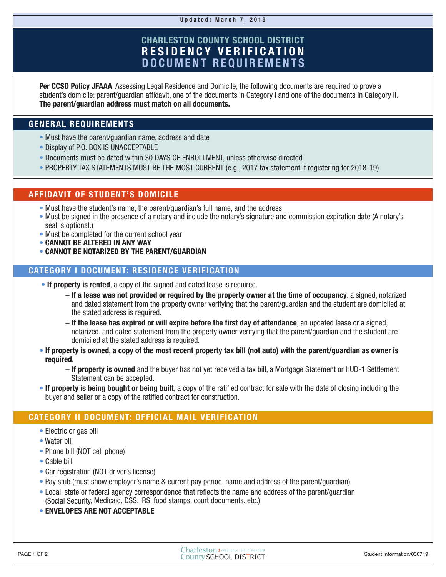# **CHARLESTON COUNTY SCHOOL DISTRICT RESIDENCY VERIFICATION DOCUMENT REQUIREMENTS**

**Per CCSD Policy JFAAA**, Assessing Legal Residence and Domicile, the following documents are required to prove a student's domicile: parent/guardian affidavit, one of the documents in Category I and one of the documents in Category II. **The parent/guardian address must match on all documents.**

## **GENERAL REQUIREMENTS**

- Must have the parent/quardian name, address and date
- Display of P.O. BOX IS UNACCEPTABLE
- Documents must be dated within 30 DAYS OF ENROLLMENT, unless otherwise directed
- PROPERTY TAX STATEMENTS MUST BE THE MOST CURRENT (e.g., 2017 tax statement if registering for 2018-19)

### **AFFIDAVIT OF STUDENT'S DOMICILE**

- Must have the student's name, the parent/guardian's full name, and the address
- Must be signed in the presence of a notary and include the notary's signature and commission expiration date (A notary's seal is optional.)
- Must be completed for the current school year
- **CANNOT BE ALTERED IN ANY WAY**
- **CANNOT BE NOTARIZED BY THE PARENT/GUARDIAN**

## **CATEGORY I DOCUMENT: RESIDENCE VERIFICATION**

- **If property is rented**, a copy of the signed and dated lease is required.
	- **If a lease was not provided or required by the property owner at the time of occupancy**, a signed, notarized and dated statement from the property owner verifying that the parent/guardian and the student are domiciled at the stated address is required.
	- **If the lease has expired or will expire before the first day of attendance**, an updated lease or a signed, notarized, and dated statement from the property owner verifying that the parent/guardian and the student are domiciled at the stated address is required.
- **If property is owned, a copy of the most recent property tax bill (not auto) with the parent/guardian as owner is required.**
	- **If property is owned** and the buyer has not yet received a tax bill, a Mortgage Statement or HUD-1 Settlement Statement can be accepted.
- **If property is being bought or being built**, a copy of the ratified contract for sale with the date of closing including the buyer and seller or a copy of the ratified contract for construction.

## **CATEGORY II DOCUMENT: OFFICIAL MAIL VERIFICATION**

- Electric or gas bill
- Water bill
- Phone bill (NOT cell phone)
- Cable bill
- Car registration (NOT driver's license)
- Pay stub (must show employer's name & current pay period, name and address of the parent/guardian)
- Local, state or federal agency correspondence that reflects the name and address of the parent/guardian (Social Security, Medicaid, DSS, IRS, food stamps, court documents, etc.)
- **ENVELOPES ARE NOT ACCEPTABLE**